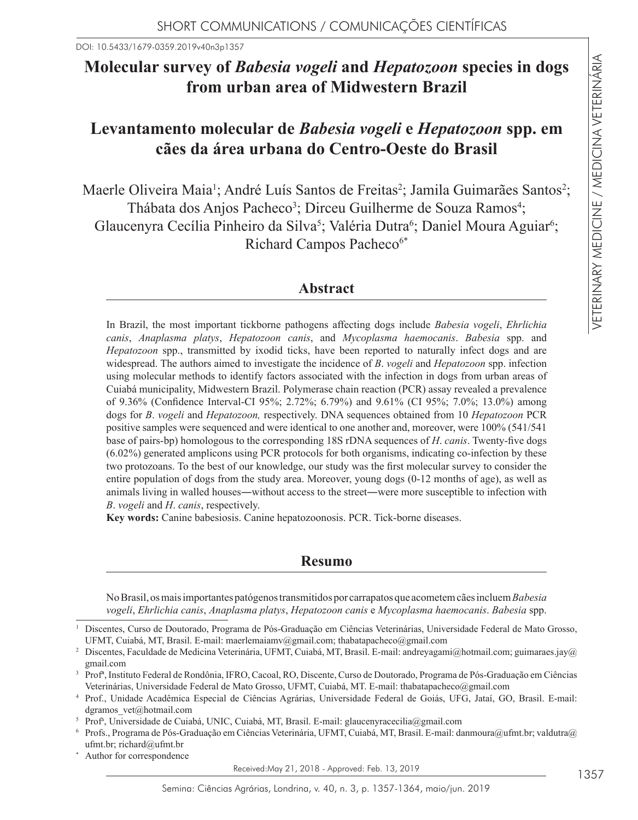DOI: 10.5433/1679-0359.2019v40n3p1357

# **Molecular survey of** *Babesia vogeli* **and** *Hepatozoon* **species in dogs from urban area of Midwestern Brazil**

## **Levantamento molecular de** *Babesia vogeli* **e** *Hepatozoon* **spp. em cães da área urbana do Centro-Oeste do Brasil**

Maerle Oliveira Maia<sup>1</sup>; André Luís Santos de Freitas<sup>2</sup>; Jamila Guimarães Santos<sup>2</sup>; Thábata dos Anjos Pacheco<sup>3</sup>; Dirceu Guilherme de Souza Ramos<sup>4</sup>; Glaucenyra Cecília Pinheiro da Silva<sup>5</sup>; Valéria Dutra<sup>6</sup>; Daniel Moura Aguiar<sup>6</sup>; Richard Campos Pacheco<sup>6\*</sup>

## **Abstract**

In Brazil, the most important tickborne pathogens affecting dogs include *Babesia vogeli*, *Ehrlichia canis*, *Anaplasma platys*, *Hepatozoon canis*, and *Mycoplasma haemocanis*. *Babesia* spp. and *Hepatozoon* spp., transmitted by ixodid ticks, have been reported to naturally infect dogs and are widespread. The authors aimed to investigate the incidence of *B*. *vogeli* and *Hepatozoon* spp. infection using molecular methods to identify factors associated with the infection in dogs from urban areas of Cuiabá municipality, Midwestern Brazil. Polymerase chain reaction (PCR) assay revealed a prevalence of 9.36% (Confidence Interval-CI 95%; 2.72%; 6.79%) and 9.61% (CI 95%; 7.0%; 13.0%) among dogs for *B*. *vogeli* and *Hepatozoon,* respectively. DNA sequences obtained from 10 *Hepatozoon* PCR positive samples were sequenced and were identical to one another and, moreover, were 100% (541/541 base of pairs-bp) homologous to the corresponding 18S rDNA sequences of *H*. *canis*. Twenty-five dogs (6.02%) generated amplicons using PCR protocols for both organisms, indicating co-infection by these two protozoans. To the best of our knowledge, our study was the first molecular survey to consider the entire population of dogs from the study area. Moreover, young dogs (0-12 months of age), as well as animals living in walled houses―without access to the street―were more susceptible to infection with *B*. *vogeli* and *H*. *canis*, respectively.

**Key words:** Canine babesiosis. Canine hepatozoonosis. PCR. Tick-borne diseases.

## **Resumo**

No Brasil, os mais importantes patógenos transmitidos por carrapatos que acometem cães incluem *Babesia vogeli*, *Ehrlichia canis*, *Anaplasma platys*, *Hepatozoon canis* e *Mycoplasma haemocanis*. *Babesia* spp.

Author for correspondence

Received:May 21, 2018 - Approved: Feb. 13, 2019

<sup>1</sup> Discentes, Curso de Doutorado, Programa de Pós-Graduação em Ciências Veterinárias, Universidade Federal de Mato Grosso, UFMT, Cuiabá, MT, Brasil. E-mail: maerlemaiamv@gmail.com; thabatapacheco@gmail.com

<sup>&</sup>lt;sup>2</sup> Discentes, Faculdade de Medicina Veterinária, UFMT, Cuiabá, MT, Brasil. E-mail: andreyagami@hotmail.com; guimaraes.jay@ gmail.com

<sup>3</sup> Profª, Instituto Federal de Rondônia, IFRO, Cacoal, RO, Discente, Curso de Doutorado, Programa de Pós-Graduação em Ciências Veterinárias, Universidade Federal de Mato Grosso, UFMT, Cuiabá, MT. E-mail: thabatapacheco@gmail.com

<sup>4</sup> Prof., Unidade Acadêmica Especial de Ciências Agrárias, Universidade Federal de Goiás, UFG, Jataí, GO, Brasil. E-mail: dgramos vet@hotmail.com

<sup>5</sup> Profa , Universidade de Cuiabá, UNIC, Cuiabá, MT, Brasil. E-mail: glaucenyracecilia@gmail.com

Profs., Programa de Pós-Graduação em Ciências Veterinária, UFMT, Cuiabá, MT, Brasil. E-mail: danmoura@ufmt.br; valdutra@ ufmt.br; richard@ufmt.br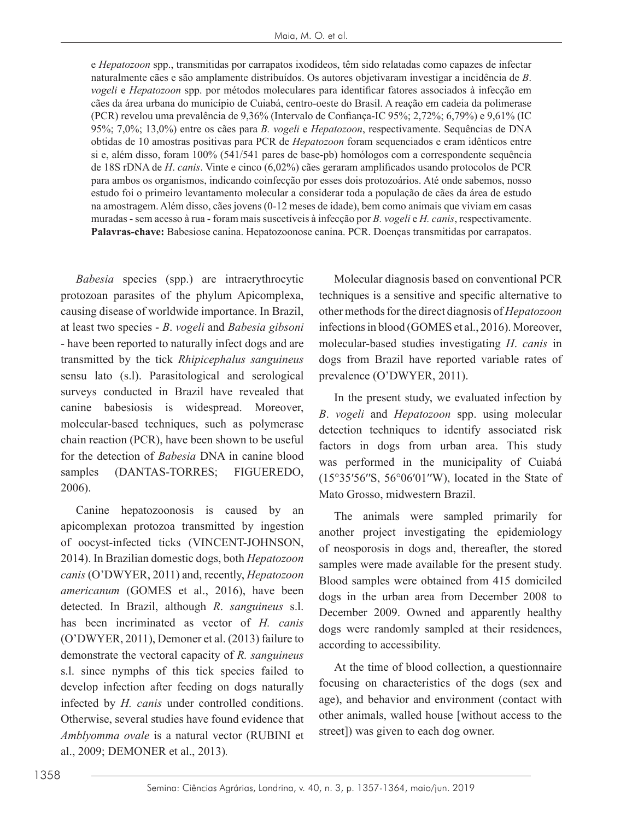e *Hepatozoon* spp., transmitidas por carrapatos ixodídeos, têm sido relatadas como capazes de infectar naturalmente cães e são amplamente distribuídos. Os autores objetivaram investigar a incidência de *B*. *vogeli* e *Hepatozoon* spp. por métodos moleculares para identificar fatores associados à infecção em cães da área urbana do município de Cuiabá, centro-oeste do Brasil. A reação em cadeia da polimerase (PCR) revelou uma prevalência de 9,36% (Intervalo de Confiança-IC 95%; 2,72%; 6,79%) e 9,61% (IC 95%; 7,0%; 13,0%) entre os cães para *B. vogeli* e *Hepatozoon*, respectivamente. Sequências de DNA obtidas de 10 amostras positivas para PCR de *Hepatozoon* foram sequenciados e eram idênticos entre si e, além disso, foram 100% (541/541 pares de base-pb) homólogos com a correspondente sequência de 18S rDNA de *H*. *canis*. Vinte e cinco (6,02%) cães geraram amplificados usando protocolos de PCR para ambos os organismos, indicando coinfecção por esses dois protozoários. Até onde sabemos, nosso estudo foi o primeiro levantamento molecular a considerar toda a população de cães da área de estudo na amostragem. Além disso, cães jovens (0-12 meses de idade), bem como animais que viviam em casas muradas - sem acesso à rua - foram mais suscetíveis à infecção por *B. vogeli* e *H. canis*, respectivamente. **Palavras-chave:** Babesiose canina. Hepatozoonose canina. PCR. Doenças transmitidas por carrapatos.

*Babesia* species (spp.) are intraerythrocytic protozoan parasites of the phylum Apicomplexa, causing disease of worldwide importance. In Brazil, at least two species - *B*. *vogeli* and *Babesia gibsoni -* have been reported to naturally infect dogs and are transmitted by the tick *Rhipicephalus sanguineus*  sensu lato (s.l). Parasitological and serological surveys conducted in Brazil have revealed that canine babesiosis is widespread. Moreover, molecular-based techniques, such as polymerase chain reaction (PCR), have been shown to be useful for the detection of *Babesia* DNA in canine blood samples (DANTAS-TORRES; FIGUEREDO, 2006).

Canine hepatozoonosis is caused by an apicomplexan protozoa transmitted by ingestion of oocyst-infected ticks (VINCENT-JOHNSON, 2014). In Brazilian domestic dogs, both *Hepatozoon canis* (O'DWYER, 2011) and, recently, *Hepatozoon americanum* (GOMES et al., 2016), have been detected. In Brazil, although *R*. *sanguineus* s.l. has been incriminated as vector of *H. canis*  (O'DWYER, 2011), Demoner et al. (2013) failure to demonstrate the vectoral capacity of *R. sanguineus* s.l. since nymphs of this tick species failed to develop infection after feeding on dogs naturally infected by *H. canis* under controlled conditions. Otherwise, several studies have found evidence that *Amblyomma ovale* is a natural vector (RUBINI et al., 2009; DEMONER et al., 2013)*.*

Molecular diagnosis based on conventional PCR techniques is a sensitive and specific alternative to other methods for the direct diagnosis of *Hepatozoon* infections in blood (GOMES et al., 2016). Moreover, molecular-based studies investigating *H*. *canis* in dogs from Brazil have reported variable rates of prevalence (O'DWYER, 2011).

In the present study, we evaluated infection by *B*. *vogeli* and *Hepatozoon* spp. using molecular detection techniques to identify associated risk factors in dogs from urban area. This study was performed in the municipality of Cuiabá (15°35′56′′S, 56°06′01′′W), located in the State of Mato Grosso, midwestern Brazil.

The animals were sampled primarily for another project investigating the epidemiology of neosporosis in dogs and, thereafter, the stored samples were made available for the present study. Blood samples were obtained from 415 domiciled dogs in the urban area from December 2008 to December 2009. Owned and apparently healthy dogs were randomly sampled at their residences, according to accessibility.

At the time of blood collection, a questionnaire focusing on characteristics of the dogs (sex and age), and behavior and environment (contact with other animals, walled house [without access to the street]) was given to each dog owner.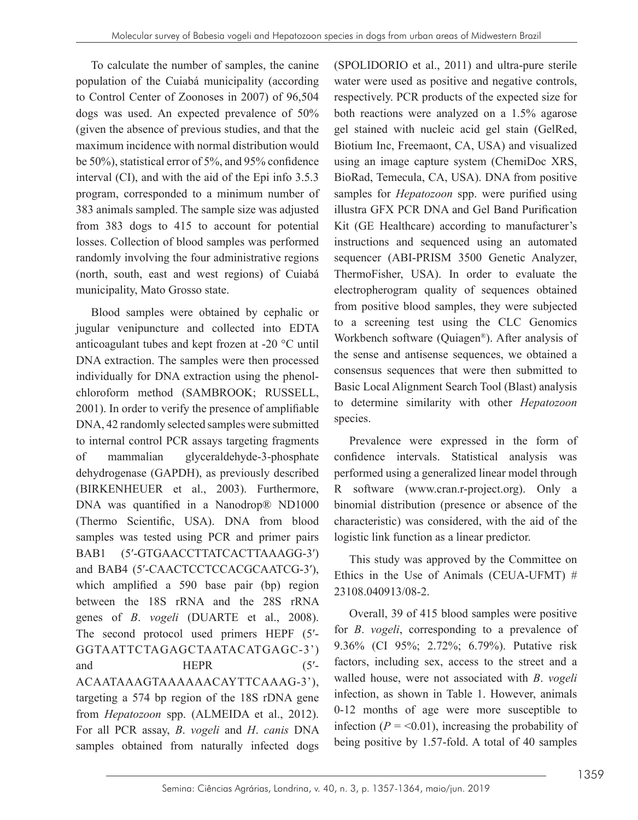To calculate the number of samples, the canine population of the Cuiabá municipality (according to Control Center of Zoonoses in 2007) of 96,504 dogs was used. An expected prevalence of 50% (given the absence of previous studies, and that the maximum incidence with normal distribution would be 50%), statistical error of 5%, and 95% confidence interval (CI), and with the aid of the Epi info 3.5.3 program, corresponded to a minimum number of 383 animals sampled. The sample size was adjusted from 383 dogs to 415 to account for potential losses. Collection of blood samples was performed randomly involving the four administrative regions (north, south, east and west regions) of Cuiabá municipality, Mato Grosso state.

Blood samples were obtained by cephalic or jugular venipuncture and collected into EDTA anticoagulant tubes and kept frozen at -20 °C until DNA extraction. The samples were then processed individually for DNA extraction using the phenolchloroform method (SAMBROOK; RUSSELL, 2001). In order to verify the presence of amplifiable DNA, 42 randomly selected samples were submitted to internal control PCR assays targeting fragments of mammalian glyceraldehyde-3-phosphate dehydrogenase (GAPDH), as previously described (BIRKENHEUER et al., 2003). Furthermore, DNA was quantified in a Nanodrop® ND1000 (Thermo Scientific, USA). DNA from blood samples was tested using PCR and primer pairs BAB1 (5′-GTGAACCTTATCACTTAAAGG-3′) and BAB4 (5′-CAACTCCTCCACGCAATCG-3′), which amplified a 590 base pair (bp) region between the 18S rRNA and the 28S rRNA genes of *B*. *vogeli* (DUARTE et al., 2008). The second protocol used primers HEPF  $(5')$ -GGTAATTCTAGAGCTAATACATGAGC-3') and HEPR (5'-ACAATAAAGTAAAAAACAYTTCAAAG-3'), targeting a 574 bp region of the 18S rDNA gene from *Hepatozoon* spp. (ALMEIDA et al., 2012). For all PCR assay, *B*. *vogeli* and *H*. *canis* DNA samples obtained from naturally infected dogs

(SPOLIDORIO et al., 2011) and ultra-pure sterile water were used as positive and negative controls, respectively. PCR products of the expected size for both reactions were analyzed on a 1.5% agarose gel stained with nucleic acid gel stain (GelRed, Biotium Inc, Freemaont, CA, USA) and visualized using an image capture system (ChemiDoc XRS, BioRad, Temecula, CA, USA). DNA from positive samples for *Hepatozoon* spp. were purified using illustra GFX PCR DNA and Gel Band Purification Kit (GE Healthcare) according to manufacturer's instructions and sequenced using an automated sequencer (ABI-PRISM 3500 Genetic Analyzer, ThermoFisher, USA). In order to evaluate the electropherogram quality of sequences obtained from positive blood samples, they were subjected to a screening test using the CLC Genomics Workbench software (Quiagen®). After analysis of the sense and antisense sequences, we obtained a consensus sequences that were then submitted to Basic Local Alignment Search Tool (Blast) analysis to determine similarity with other *Hepatozoon*  species.

Prevalence were expressed in the form of confidence intervals. Statistical analysis was performed using a generalized linear model through R software (www.cran.r-project.org). Only a binomial distribution (presence or absence of the characteristic) was considered, with the aid of the logistic link function as a linear predictor.

This study was approved by the Committee on Ethics in the Use of Animals (CEUA-UFMT)  $#$ 23108.040913/08-2.

Overall, 39 of 415 blood samples were positive for *B*. *vogeli*, corresponding to a prevalence of 9.36% (CI 95%; 2.72%; 6.79%). Putative risk factors, including sex, access to the street and a walled house, were not associated with *B*. *vogeli* infection, as shown in Table 1. However, animals 0-12 months of age were more susceptible to infection ( $P = 0.01$ ), increasing the probability of being positive by 1.57-fold. A total of 40 samples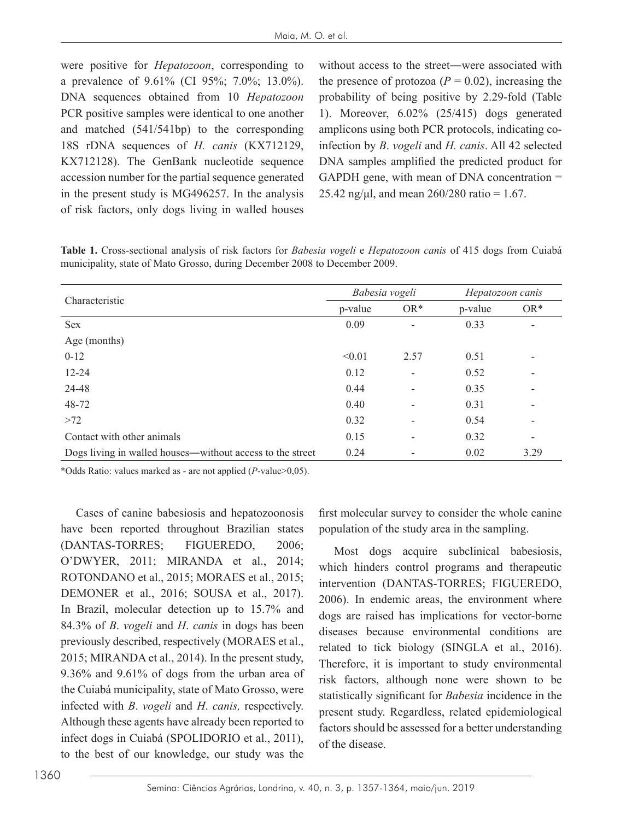were positive for *Hepatozoon*, corresponding to a prevalence of 9.61% (CI 95%; 7.0%; 13.0%). DNA sequences obtained from 10 *Hepatozoon* PCR positive samples were identical to one another and matched (541/541bp) to the corresponding 18S rDNA sequences of *H. canis* (KX712129, KX712128). The GenBank nucleotide sequence accession number for the partial sequence generated in the present study is MG496257. In the analysis of risk factors, only dogs living in walled houses

without access to the street―were associated with the presence of protozoa ( $P = 0.02$ ), increasing the probability of being positive by 2.29-fold (Table 1). Moreover, 6.02% (25/415) dogs generated amplicons using both PCR protocols, indicating coinfection by *B*. *vogeli* and *H. canis*. All 42 selected DNA samples amplified the predicted product for GAPDH gene, with mean of DNA concentration = 25.42 ng/μl, and mean  $260/280$  ratio = 1.67.

**Table 1.** Cross-sectional analysis of risk factors for *Babesia vogeli* e *Hepatozoon canis* of 415 dogs from Cuiabá municipality, state of Mato Grosso, during December 2008 to December 2009.

| Characteristic                                            | Babesia vogeli |                          | Hepatozoon canis |                          |
|-----------------------------------------------------------|----------------|--------------------------|------------------|--------------------------|
|                                                           | p-value        | $OR*$                    | p-value          | $OR*$                    |
| <b>Sex</b>                                                | 0.09           | $\overline{\phantom{a}}$ | 0.33             | ۰                        |
| Age (months)                                              |                |                          |                  |                          |
| $0 - 12$                                                  | < 0.01         | 2.57                     | 0.51             |                          |
| $12 - 24$                                                 | 0.12           | $\overline{\phantom{a}}$ | 0.52             |                          |
| 24-48                                                     | 0.44           | $\overline{\phantom{a}}$ | 0.35             |                          |
| 48-72                                                     | 0.40           | ۰                        | 0.31             |                          |
| >72                                                       | 0.32           | $\overline{\phantom{a}}$ | 0.54             |                          |
| Contact with other animals                                | 0.15           | $\overline{\phantom{a}}$ | 0.32             | $\overline{\phantom{a}}$ |
| Dogs living in walled houses—without access to the street | 0.24           |                          | 0.02             | 3.29                     |

\*Odds Ratio: values marked as - are not applied (*P*-value>0,05).

Cases of canine babesiosis and hepatozoonosis have been reported throughout Brazilian states (DANTAS-TORRES; FIGUEREDO, 2006; O'DWYER, 2011; MIRANDA et al., 2014; ROTONDANO et al., 2015; MORAES et al., 2015; DEMONER et al., 2016; SOUSA et al., 2017). In Brazil, molecular detection up to 15.7% and 84.3% of *B*. *vogeli* and *H*. *canis* in dogs has been previously described, respectively (MORAES et al., 2015; MIRANDA et al., 2014). In the present study, 9.36% and 9.61% of dogs from the urban area of the Cuiabá municipality, state of Mato Grosso, were infected with *B*. *vogeli* and *H*. *canis,* respectively. Although these agents have already been reported to infect dogs in Cuiabá (SPOLIDORIO et al., 2011), to the best of our knowledge, our study was the

first molecular survey to consider the whole canine population of the study area in the sampling.

Most dogs acquire subclinical babesiosis, which hinders control programs and therapeutic intervention (DANTAS-TORRES; FIGUEREDO, 2006). In endemic areas, the environment where dogs are raised has implications for vector-borne diseases because environmental conditions are related to tick biology (SINGLA et al., 2016). Therefore, it is important to study environmental risk factors, although none were shown to be statistically significant for *Babesia* incidence in the present study. Regardless, related epidemiological factors should be assessed for a better understanding of the disease.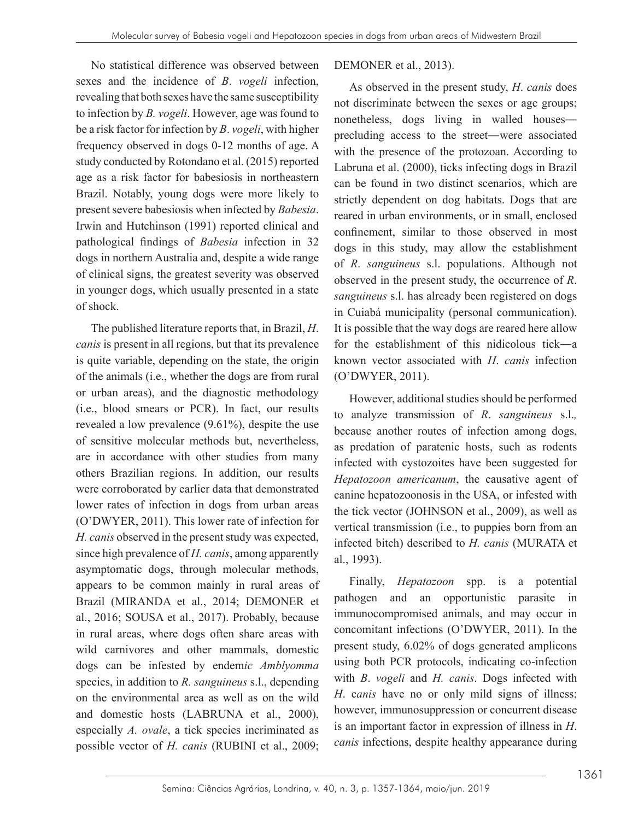No statistical difference was observed between sexes and the incidence of *B*. *vogeli* infection, revealing that both sexes have the same susceptibility to infection by *B. vogeli*. However, age was found to be a risk factor for infection by *B*. *vogeli*, with higher frequency observed in dogs 0-12 months of age. A study conducted by Rotondano et al. (2015) reported age as a risk factor for babesiosis in northeastern Brazil. Notably, young dogs were more likely to present severe babesiosis when infected by *Babesia*. Irwin and Hutchinson (1991) reported clinical and pathological findings of *Babesia* infection in 32 dogs in northern Australia and, despite a wide range of clinical signs, the greatest severity was observed in younger dogs, which usually presented in a state of shock.

The published literature reports that, in Brazil, *H*. *canis* is present in all regions, but that its prevalence is quite variable, depending on the state, the origin of the animals (i.e., whether the dogs are from rural or urban areas), and the diagnostic methodology (i.e., blood smears or PCR). In fact, our results revealed a low prevalence (9.61%), despite the use of sensitive molecular methods but, nevertheless, are in accordance with other studies from many others Brazilian regions. In addition, our results were corroborated by earlier data that demonstrated lower rates of infection in dogs from urban areas (O'DWYER, 2011). This lower rate of infection for *H. canis* observed in the present study was expected, since high prevalence of *H. canis*, among apparently asymptomatic dogs, through molecular methods, appears to be common mainly in rural areas of Brazil (MIRANDA et al., 2014; DEMONER et al., 2016; SOUSA et al., 2017). Probably, because in rural areas, where dogs often share areas with wild carnivores and other mammals, domestic dogs can be infested by endem*ic Amblyomma*  species, in addition to *R. sanguineus* s.l., depending on the environmental area as well as on the wild and domestic hosts (LABRUNA et al., 2000), especially *A. ovale*, a tick species incriminated as possible vector of *H. canis* (RUBINI et al., 2009;

### DEMONER et al., 2013).

As observed in the present study, *H*. *canis* does not discriminate between the sexes or age groups; nonetheless, dogs living in walled houses― precluding access to the street―were associated with the presence of the protozoan. According to Labruna et al. (2000), ticks infecting dogs in Brazil can be found in two distinct scenarios, which are strictly dependent on dog habitats. Dogs that are reared in urban environments, or in small, enclosed confinement, similar to those observed in most dogs in this study, may allow the establishment of *R*. *sanguineus* s.l. populations. Although not observed in the present study, the occurrence of *R*. *sanguineus* s.l. has already been registered on dogs in Cuiabá municipality (personal communication). It is possible that the way dogs are reared here allow for the establishment of this nidicolous tick―a known vector associated with *H*. *canis* infection (O'DWYER, 2011).

However, additional studies should be performed to analyze transmission of *R*. *sanguineus* s.l.*,*  because another routes of infection among dogs, as predation of paratenic hosts, such as rodents infected with cystozoites have been suggested for *Hepatozoon americanum*, the causative agent of canine hepatozoonosis in the USA, or infested with the tick vector (JOHNSON et al., 2009), as well as vertical transmission (i.e., to puppies born from an infected bitch) described to *H. canis* (MURATA et al., 1993).

Finally, *Hepatozoon* spp. is a potential pathogen and an opportunistic parasite in immunocompromised animals, and may occur in concomitant infections (O'DWYER, 2011). In the present study, 6.02% of dogs generated amplicons using both PCR protocols, indicating co-infection with *B*. *vogeli* and *H. canis*. Dogs infected with *H*. c*anis* have no or only mild signs of illness; however, immunosuppression or concurrent disease is an important factor in expression of illness in *H*. *canis* infections, despite healthy appearance during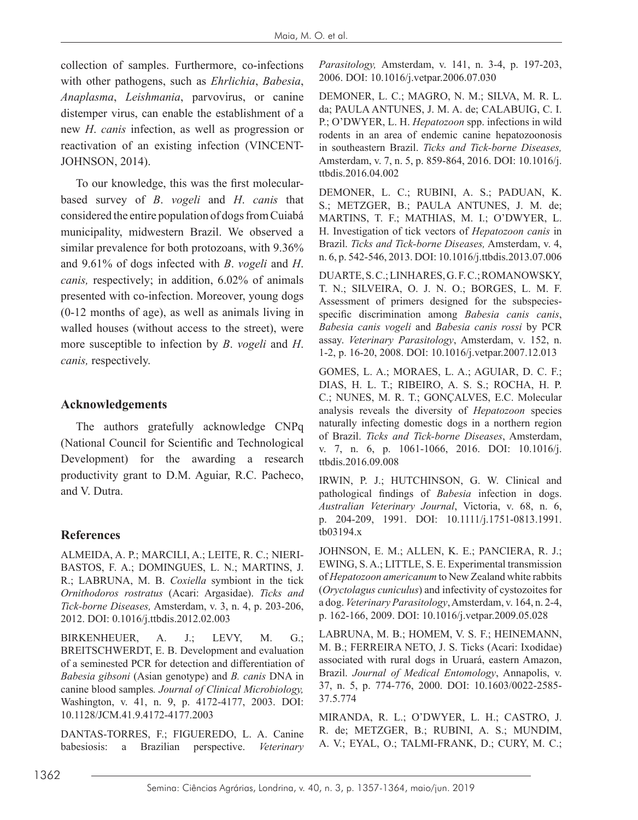collection of samples. Furthermore, co-infections with other pathogens, such as *Ehrlichia*, *Babesia*, *Anaplasma*, *Leishmania*, parvovirus, or canine distemper virus, can enable the establishment of a new *H*. *canis* infection, as well as progression or reactivation of an existing infection (VINCENT-JOHNSON, 2014).

To our knowledge, this was the first molecularbased survey of *B*. *vogeli* and *H*. *canis* that considered the entire population of dogs from Cuiabá municipality, midwestern Brazil. We observed a similar prevalence for both protozoans, with 9.36% and 9.61% of dogs infected with *B*. *vogeli* and *H*. *canis,* respectively; in addition, 6.02% of animals presented with co-infection. Moreover, young dogs (0-12 months of age), as well as animals living in walled houses (without access to the street), were more susceptible to infection by *B*. *vogeli* and *H*. *canis,* respectively.

### **Acknowledgements**

The authors gratefully acknowledge CNPq (National Council for Scientific and Technological Development) for the awarding a research productivity grant to D.M. Aguiar, R.C. Pacheco, and V. Dutra.

#### **References**

ALMEIDA, A. P.; MARCILI, A.; LEITE, R. C.; NIERI-BASTOS, F. A.; DOMINGUES, L. N.; MARTINS, J. R.; LABRUNA, M. B. *Coxiella* symbiont in the tick *Ornithodoros rostratus* (Acari: Argasidae). *Ticks and Tick-borne Diseases,* Amsterdam, v. 3, n. 4, p. 203-206, 2012. DOI: 0.1016/j.ttbdis.2012.02.003

BIRKENHEUER, A. J.; LEVY, M. G.; BREITSCHWERDT, E. B. Development and evaluation of a seminested PCR for detection and differentiation of *Babesia gibsoni* (Asian genotype) and *B. canis* DNA in canine blood samples*. Journal of Clinical Microbiology,* Washington, v. 41, n. 9, p. 4172-4177, 2003. DOI: 10.1128/JCM.41.9.4172-4177.2003

DANTAS-TORRES, F.; FIGUEREDO, L. A. Canine babesiosis: a Brazilian perspective. *Veterinary*  *Parasitology,* Amsterdam, v. 141, n. 3-4, p. 197-203, 2006. DOI: 10.1016/j.vetpar.2006.07.030

DEMONER, L. C.; MAGRO, N. M.; SILVA, M. R. L. da; PAULA ANTUNES, J. M. A. de; CALABUIG, C. I. P.; O'DWYER, L. H. *Hepatozoon* spp. infections in wild rodents in an area of endemic canine hepatozoonosis in southeastern Brazil. *Ticks and Tick-borne Diseases,* Amsterdam, v. 7, n. 5, p. 859-864, 2016. DOI: 10.1016/j. ttbdis.2016.04.002

DEMONER, L. C.; RUBINI, A. S.; PADUAN, K. S.; METZGER, B.; PAULA ANTUNES, J. M. de; MARTINS, T. F.; MATHIAS, M. I.; O'DWYER, L. H. Investigation of tick vectors of *Hepatozoon canis* in Brazil. *Ticks and Tick-borne Diseases,* Amsterdam, v. 4, n. 6, p. 542-546, 2013. DOI: 10.1016/j.ttbdis.2013.07.006

DUARTE, S. C.; LINHARES, G. F. C.; ROMANOWSKY, T. N.; SILVEIRA, O. J. N. O.; BORGES, L. M. F. Assessment of primers designed for the subspeciesspecific discrimination among *Babesia canis canis*, *Babesia canis vogeli* and *Babesia canis rossi* by PCR assay. *Veterinary Parasitology*, Amsterdam, v. 152, n. 1-2, p. 16-20, 2008. DOI: 10.1016/j.vetpar.2007.12.013

GOMES, L. A.; MORAES, L. A.; AGUIAR, D. C. F.; DIAS, H. L. T.; RIBEIRO, A. S. S.; ROCHA, H. P. C.; NUNES, M. R. T.; GONÇALVES, E.C. Molecular analysis reveals the diversity of *Hepatozoon* species naturally infecting domestic dogs in a northern region of Brazil. *Ticks and Tick-borne Diseases*, Amsterdam, v. 7, n. 6, p. 1061-1066, 2016. DOI: 10.1016/j. ttbdis.2016.09.008

IRWIN, P. J.; HUTCHINSON, G. W. Clinical and pathological findings of *Babesia* infection in dogs. *Australian Veterinary Journal*, Victoria, v. 68, n. 6, p. 204-209, 1991. DOI: 10.1111/j.1751-0813.1991. tb03194.x

JOHNSON, E. M.; ALLEN, K. E.; PANCIERA, R. J.; EWING, S. A.; LITTLE, S. E. Experimental transmission of *Hepatozoon americanum* to New Zealand white rabbits (*Oryctolagus cuniculus*) and infectivity of cystozoites for a dog. *Veterinary Parasitology*, Amsterdam, v. 164, n. 2-4, p. 162-166, 2009. DOI: 10.1016/j.vetpar.2009.05.028

LABRUNA, M. B.; HOMEM, V. S. F.; HEINEMANN, M. B.; FERREIRA NETO, J. S. Ticks (Acari: Ixodidae) associated with rural dogs in Uruará, eastern Amazon, Brazil. *Journal of Medical Entomology*, Annapolis, v. 37, n. 5, p. 774-776, 2000. DOI: 10.1603/0022-2585- 37.5.774

MIRANDA, R. L.; O'DWYER, L. H.; CASTRO, J. R. de; METZGER, B.; RUBINI, A. S.; MUNDIM, A. V.; EYAL, O.; TALMI-FRANK, D.; CURY, M. C.;